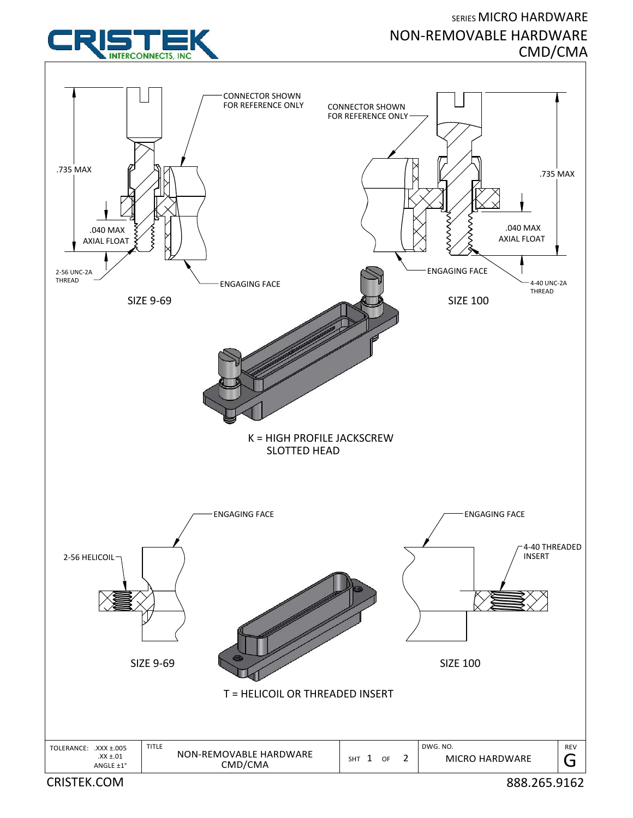## SERIES MICRO HARDWARE NON‐REMOVABLE HARDWARE CMD/CMA